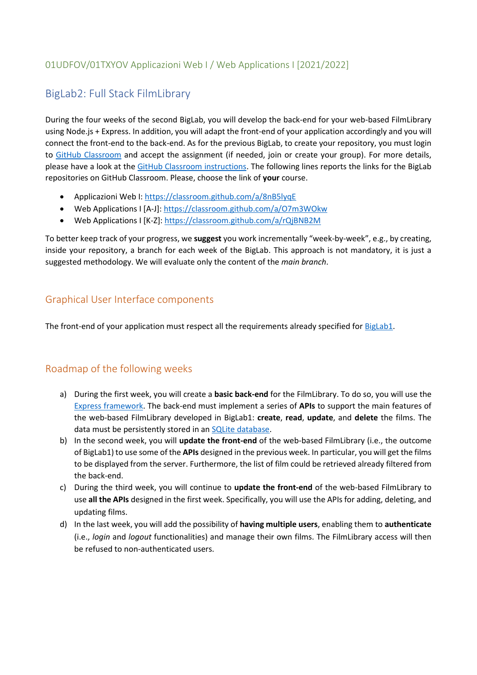### 01UDFOV/01TXYOV Applicazioni Web I / Web Applications I [2021/2022]

# BigLab2: Full Stack FilmLibrary

During the four weeks of the second BigLab, you will develop the back-end for your web-based FilmLibrary using Node.js + Express. In addition, you will adapt the front-end of your application accordingly and you will connect the front-end to the back-end. As for the previous BigLab, to create your repository, you must login to [GitHub Classroom](https://classroom.github.com/) and accept the assignment (if needed, join or create your group). For more details, please have a look at the [GitHub Classroom instructions.](https://polito-wa1-aw1-2022.github.io/materials/labs/GH-Classroom-BigLab-Instructions.pdf) The following lines reports the links for the BigLab repositories on GitHub Classroom. Please, choose the link of **your** course.

- Applicazioni Web I:<https://classroom.github.com/a/8nB5lyqE>
- Web Applications I [A-J]:<https://classroom.github.com/a/O7m3WOkw>
- Web Applications I [K-Z]:<https://classroom.github.com/a/rQjBNB2M>

To better keep track of your progress, we **suggest** you work incrementally "week-by-week", e.g., by creating, inside your repository, a branch for each week of the BigLab. This approach is not mandatory, it is just a suggested methodology. We will evaluate only the content of the *main branch*.

### Graphical User Interface components

The front-end of your application must respect all the requirements already specified for [BigLab1.](https://polito-wa1-aw1-2022.github.io/materials/labs/BigLab1/BigLab1.pdf)

### Roadmap of the following weeks

- a) During the first week, you will create a **basic back-end** for the FilmLibrary. To do so, you will use the [Express framework.](https://expressjs.com/) The back-end must implement a series of **APIs** to support the main features of the web-based FilmLibrary developed in BigLab1: **create**, **read**, **update**, and **delete** the films. The data must be persistently stored in an [SQLite database.](https://www.sqlite.org/)
- b) In the second week, you will **update the front-end** of the web-based FilmLibrary (i.e., the outcome of BigLab1) to use some of the **APIs** designed in the previous week. In particular, you will get the films to be displayed from the server. Furthermore, the list of film could be retrieved already filtered from the back-end.
- c) During the third week, you will continue to **update the front-end** of the web-based FilmLibrary to use **all the APIs** designed in the first week. Specifically, you will use the APIs for adding, deleting, and updating films.
- d) In the last week, you will add the possibility of **having multiple users**, enabling them to **authenticate** (i.e., *login* and *logout* functionalities) and manage their own films. The FilmLibrary access will then be refused to non-authenticated users.